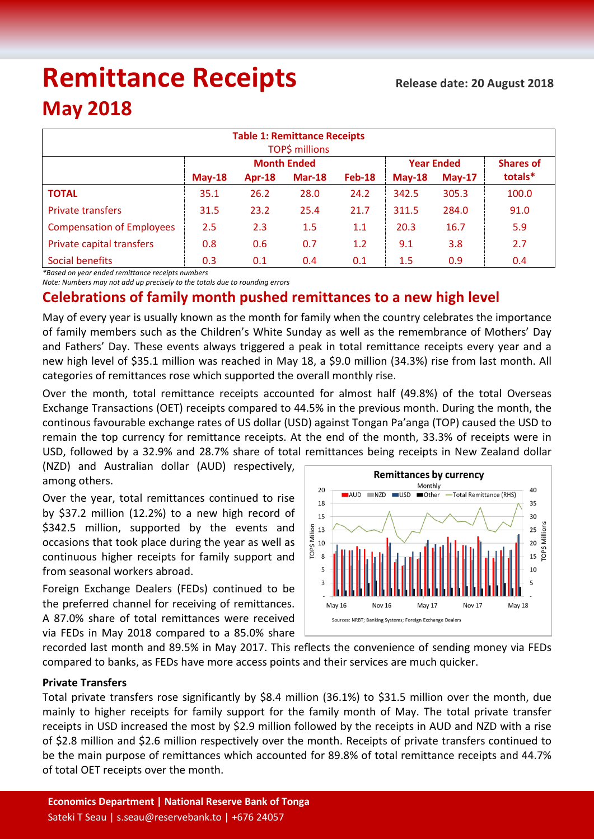# **Remittance Receipts**

## **May 2018**

| <b>Table 1: Remittance Receipts</b><br>TOP\$ millions |          |        |                    |                   |          |                  |         |  |  |  |
|-------------------------------------------------------|----------|--------|--------------------|-------------------|----------|------------------|---------|--|--|--|
|                                                       |          |        | <b>Month Ended</b> | <b>Year Ended</b> |          | <b>Shares of</b> |         |  |  |  |
|                                                       | $May-18$ | Apr-18 | $Mar-18$           | <b>Feb-18</b>     | $May-18$ | $May-17$         | totals* |  |  |  |
| <b>TOTAL</b>                                          | 35.1     | 26.2   | 28.0               | 24.2              | 342.5    | 305.3            | 100.0   |  |  |  |
| <b>Private transfers</b>                              | 31.5     | 23.2   | 25.4               | 21.7              | 311.5    | 284.0            | 91.0    |  |  |  |
| <b>Compensation of Employees</b>                      | 2.5      | 2.3    | 1.5                | 1.1               | 20.3     | 16.7             | 5.9     |  |  |  |
| Private capital transfers                             | 0.8      | 0.6    | 0.7                | 1.2               | 9.1      | 3.8              | 2.7     |  |  |  |
| Social benefits                                       | 0.3      | 0.1    | 0.4                | 0.1               | 1.5      | 0.9              | 0.4     |  |  |  |

*\*Based on year ended remittance receipts numbers*

*Note: Numbers may not add up precisely to the totals due to rounding errors*

### **Celebrations of family month pushed remittances to a new high level**

May of every year is usually known as the month for family when the country celebrates the importance of family members such as the Children's White Sunday as well as the remembrance of Mothers' Day and Fathers' Day. These events always triggered a peak in total remittance receipts every year and a new high level of \$35.1 million was reached in May 18, a \$9.0 million (34.3%) rise from last month. All categories of remittances rose which supported the overall monthly rise.

Over the month, total remittance receipts accounted for almost half (49.8%) of the total Overseas Exchange Transactions (OET) receipts compared to 44.5% in the previous month. During the month, the continous favourable exchange rates of US dollar (USD) against Tongan Pa'anga (TOP) caused the USD to remain the top currency for remittance receipts. At the end of the month, 33.3% of receipts were in USD, followed by a 32.9% and 28.7% share of total remittances being receipts in New Zealand dollar

(NZD) and Australian dollar (AUD) respectively, among others.

Over the year, total remittances continued to rise by \$37.2 million (12.2%) to a new high record of \$342.5 million, supported by the events and occasions that took place during the year as well as continuous higher receipts for family support and from seasonal workers abroad.

Foreign Exchange Dealers (FEDs) continued to be the preferred channel for receiving of remittances. A 87.0% share of total remittances were received via FEDs in May 2018 compared to a 85.0% share



recorded last month and 89.5% in May 2017. This reflects the convenience of sending money via FEDs compared to banks, as FEDs have more access points and their services are much quicker.

#### **Private Transfers**

Total private transfers rose significantly by \$8.4 million (36.1%) to \$31.5 million over the month, due mainly to higher receipts for family support for the family month of May. The total private transfer receipts in USD increased the most by \$2.9 million followed by the receipts in AUD and NZD with a rise of \$2.8 million and \$2.6 million respectively over the month. Receipts of private transfers continued to be the main purpose of remittances which accounted for 89.8% of total remittance receipts and 44.7% of total OET receipts over the month.